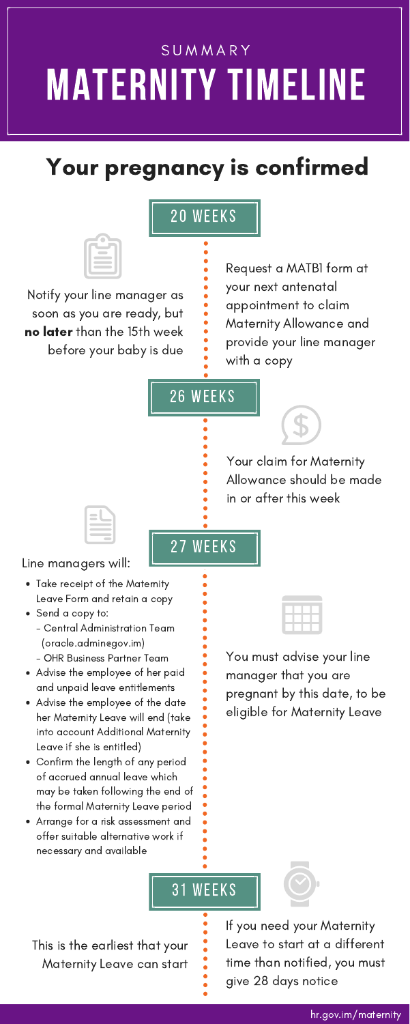# **SUMMARY** MATERNITY TIMELINE

## Your pregnancy is confirmed

You must advise your line manager that you are pregnant by this date, to be eligible for Maternity Leave

If you need your Maternity Leave to start at a different time than notified, you must give 28 days notice



- Send a copy to:
	- Central Administration Team (oracle.admin@gov.im)
	- OHR Business Partner Team
- Advise the employee of her paid and unpaid leave entitlements
- Advise the employee of the date her Maternity Leave will end (take into account Additional Maternity Leave if she is entitled)
- Confirm the length of any period of accrued annual leave which may be taken following the end of the formal Maternity Leave period
- Arrange for a risk assessment and offer suitable alternative work if necessary and available



This is the earliest that your Maternity Leave can start

31 weeks

#### hr.gov.im/maternity